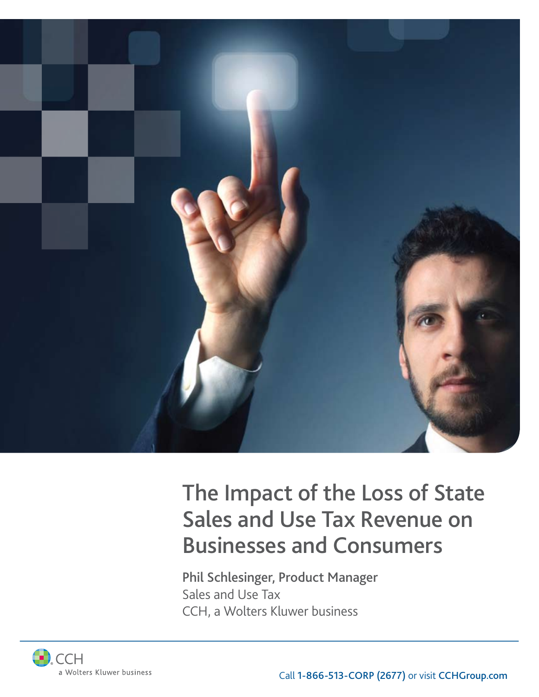

# The Impact of the Loss of State Sales and Use Tax Revenue on Businesses and Consumers

Phil Schlesinger, Product Manager Sales and Use Tax CCH, a Wolters Kluwer business

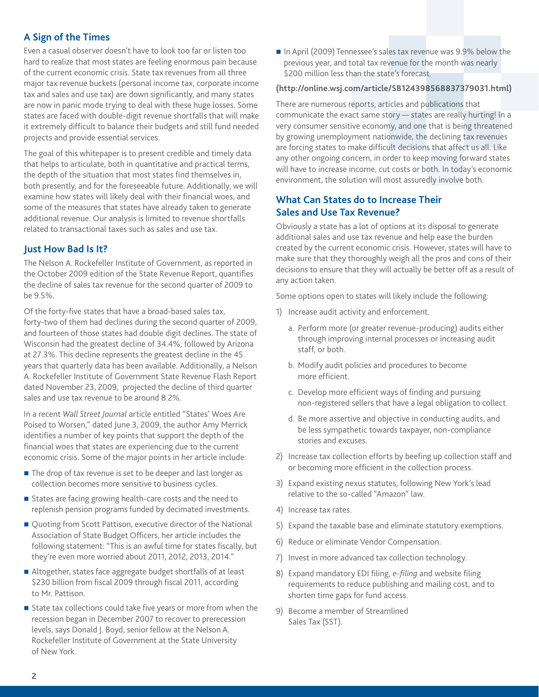## **A Sign of the Times**

Even a casual observer doesn't have to look too far or listen too hard to realize that most states are feeling enormous pain because of the current economic crisis. State tax revenues from all three major tax revenue buckets (personal income tax, corporate income tax and sales and use tax) are down significantly, and many states are now in panic mode trying to deal with these huge losses. Some states are faced with double-digit revenue shortfalls that will make it extremely difficult to balance their budgets and still fund needed projects and provide essential services.

The goal of this whitepaper is to present credible and timely data that helps to articulate, both in quantitative and practical terms, the depth of the situation that most states find themselves in, both presently, and for the foreseeable future. Additionally, we will examine how states will likely deal with their financial woes, and some of the measures that states have already taken to generate additional revenue. Our analysis is limited to revenue shortfalls related to transactional taxes such as sales and use tax.

## **Just How Bad Is It?**

The Nelson A. Rockefeller Institute of Government, as reported in the October 2009 edition of the State Revenue Report, quantifies the decline of sales tax revenue for the second quarter of 2009 to be 9.5%.

Of the forty-five states that have a broad-based sales tax, forty-two of them had declines during the second quarter of 2009, and fourteen of those states had double digit declines. The state of Wisconsin had the greatest decline of 34.4%, followed by Arizona at 27.3%. This decline represents the greatest decline in the 45 years that quarterly data has been available. Additionally, a Nelson A. Rockefeller Institute of Government State Revenue Flash Report dated November 23, 2009, projected the decline of third quarter sales and use tax revenue to be around 8.2%.

In a recent *Wall Street Journal* article entitled "States' Woes Are Poised to Worsen," dated June 3, 2009, the author Amy Merrick identifies a number of key points that support the depth of the financial woes that states are experiencing due to the current economic crisis. Some of the major points in her article include:

- The drop of tax revenue is set to be deeper and last longer as collection becomes more sensitive to business cycles.
- States are facing growing health-care costs and the need to replenish pension programs funded by decimated investments.
- Quoting from Scott Pattison, executive director of the National Association of State Budget Officers, her article includes the following statement: "This is an awful time for states fiscally, but they're even more worried about 2011, 2012, 2013, 2014."
- Altogether, states face aggregate budget shortfalls of at least \$230 billion from fiscal 2009 through fiscal 2011, according to Mr. Pattison.
- State tax collections could take five years or more from when the recession began in December 2007 to recover to prerecession levels, says Donald J. Boyd, senior fellow at the Nelson A. Rockefeller Institute of Government at the State University of New York.

■ In April (2009) Tennessee's sales tax revenue was 9.9% below the previous year, and total tax revenue for the month was nearly \$200 million less than the state's forecast.

### **(http://online.wsj.com/article/SB124398568837379031.html)**

There are numerous reports, articles and publications that communicate the exact same story — states are really hurting! In a very consumer sensitive economy, and one that is being threatened by growing unemployment nationwide, the declining tax revenues are forcing states to make difficult decisions that affect us all. Like any other ongoing concern, in order to keep moving forward states will have to increase income, cut costs or both. In today's economic environment, the solution will most assuredly involve both.

## **What Can States do to Increase Their Sales and Use Tax Revenue?**

Obviously a state has a lot of options at its disposal to generate additional sales and use tax revenue and help ease the burden created by the current economic crisis. However, states will have to make sure that they thoroughly weigh all the pros and cons of their decisions to ensure that they will actually be better off as a result of any action taken.

Some options open to states will likely include the following:

- 1) Increase audit activity and enforcement.
	- a. Perform more (or greater revenue-producing) audits either through improving internal processes or increasing audit staff, or both.
	- b. Modify audit policies and procedures to become more efficient.
	- c. Develop more efficient ways of finding and pursuing non-registered sellers that have a legal obligation to collect.
	- d. Be more assertive and objective in conducting audits, and be less sympathetic towards taxpayer, non-compliance stories and excuses.
- 2) Increase tax collection efforts by beefing up collection staff and or becoming more efficient in the collection process.
- 3) Expand existing nexus statutes, following New York's lead relative to the so-called "Amazon" law.
- 4) Increase tax rates.
- 5) Expand the taxable base and eliminate statutory exemptions.
- 6) Reduce or eliminate Vendor Compensation.
- 7) Invest in more advanced tax collection technology.
- 8) Expand mandatory EDI filing, *e-filing* and website filing requirements to reduce publishing and mailing cost, and to shorten time gaps for fund access.
- 9) Become a member of Streamlined Sales Tax (SST).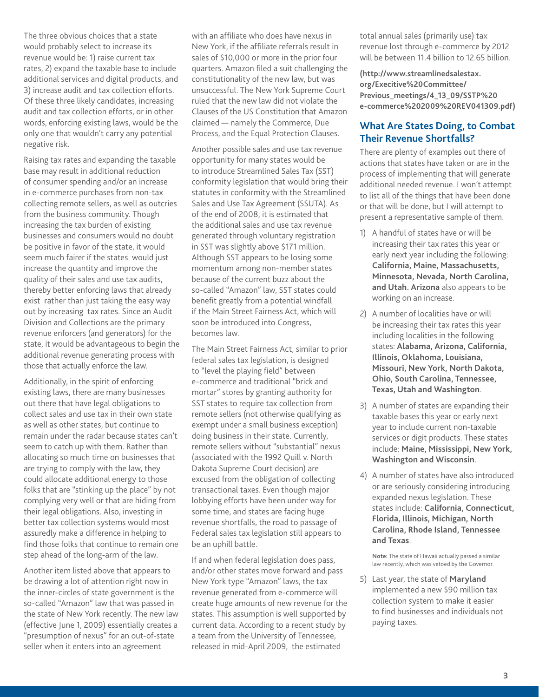The three obvious choices that a state would probably select to increase its revenue would be: 1) raise current tax rates, 2) expand the taxable base to include additional services and digital products, and 3) increase audit and tax collection efforts. Of these three likely candidates, increasing audit and tax collection efforts, or in other words, enforcing existing laws, would be the only one that wouldn't carry any potential negative risk.

Raising tax rates and expanding the taxable base may result in additional reduction of consumer spending and/or an increase in e-commerce purchases from non-tax collecting remote sellers, as well as outcries from the business community. Though increasing the tax burden of existing businesses and consumers would no doubt be positive in favor of the state, it would seem much fairer if the states would just increase the quantity and improve the quality of their sales and use tax audits, thereby better enforcing laws that already exist rather than just taking the easy way out by increasing tax rates. Since an Audit Division and Collections are the primary revenue enforcers (and generators) for the state, it would be advantageous to begin the additional revenue generating process with those that actually enforce the law.

Additionally, in the spirit of enforcing existing laws, there are many businesses out there that have legal obligations to collect sales and use tax in their own state as well as other states, but continue to remain under the radar because states can't seem to catch up with them. Rather than allocating so much time on businesses that are trying to comply with the law, they could allocate additional energy to those folks that are "stinking up the place" by not complying very well or that are hiding from their legal obligations. Also, investing in better tax collection systems would most assuredly make a difference in helping to find those folks that continue to remain one step ahead of the long-arm of the law.

Another item listed above that appears to be drawing a lot of attention right now in the inner-circles of state government is the so-called "Amazon" law that was passed in the state of New York recently. The new law (effective June 1, 2009) essentially creates a "presumption of nexus" for an out-of-state seller when it enters into an agreement

with an affiliate who does have nexus in New York, if the affiliate referrals result in sales of \$10,000 or more in the prior four quarters. Amazon filed a suit challenging the constitutionality of the new law, but was unsuccessful. The New York Supreme Court ruled that the new law did not violate the Clauses of the US Constitution that Amazon claimed — namely the Commerce, Due Process, and the Equal Protection Clauses.

Another possible sales and use tax revenue opportunity for many states would be to introduce Streamlined Sales Tax (SST) conformity legislation that would bring their statutes in conformity with the Streamlined Sales and Use Tax Agreement (SSUTA). As of the end of 2008, it is estimated that the additional sales and use tax revenue generated through voluntary registration in SST was slightly above \$171 million. Although SST appears to be losing some momentum among non-member states because of the current buzz about the so-called "Amazon" law, SST states could benefit greatly from a potential windfall if the Main Street Fairness Act, which will soon be introduced into Congress, becomes law.

The Main Street Fairness Act, similar to prior federal sales tax legislation, is designed to "level the playing field" between e-commerce and traditional "brick and mortar" stores by granting authority for SST states to require tax collection from remote sellers (not otherwise qualifying as exempt under a small business exception) doing business in their state. Currently, remote sellers without "substantial" nexus (associated with the 1992 Quill v. North Dakota Supreme Court decision) are excused from the obligation of collecting transactional taxes. Even though major lobbying efforts have been under way for some time, and states are facing huge revenue shortfalls, the road to passage of Federal sales tax legislation still appears to be an uphill battle.

If and when federal legislation does pass, and/or other states move forward and pass New York type "Amazon" laws, the tax revenue generated from e-commerce will create huge amounts of new revenue for the states. This assumption is well supported by current data. According to a recent study by a team from the University of Tennessee, released in mid-April 2009, the estimated

total annual sales (primarily use) tax revenue lost through e-commerce by 2012 will be between 11.4 billion to 12.65 billion.

**(http://www.streamlinedsalestax. org/Execitive%20Committee/ Previous\_meetings/4\_13\_09/SSTP%20 e-commerce%202009%20REV041309.pdf)**

## **What Are States Doing, to Combat Their Revenue Shortfalls?**

There are plenty of examples out there of actions that states have taken or are in the process of implementing that will generate additional needed revenue. I won't attempt to list all of the things that have been done or that will be done, but I will attempt to present a representative sample of them.

- 1) A handful of states have or will be increasing their tax rates this year or early next year including the following: **California, Maine, Massachusetts, Minnesota, Nevada, North Carolina, and Utah. Arizona** also appears to be working on an increase.
- 2) A number of localities have or will be increasing their tax rates this year including localities in the following states: **Alabama, Arizona, California, Illinois, Oklahoma, Louisiana, Missouri, New York, North Dakota, Ohio, South Carolina, Tennessee, Texas, Utah and Washington**.
- 3) A number of states are expanding their taxable bases this year or early next year to include current non-taxable services or digit products. These states include: **Maine, Mississippi, New York, Washington and Wisconsin**.
- 4) A number of states have also introduced or are seriously considering introducing expanded nexus legislation. These states include: **California, Connecticut, Florida, Illinois, Michigan, North Carolina, Rhode Island, Tennessee and Texas**.

**Note:** The state of Hawaii actually passed a similar law recently, which was vetoed by the Governor.

5) Last year, the state of **Maryland** implemented a new \$90 million tax collection system to make it easier to find businesses and individuals not paying taxes.